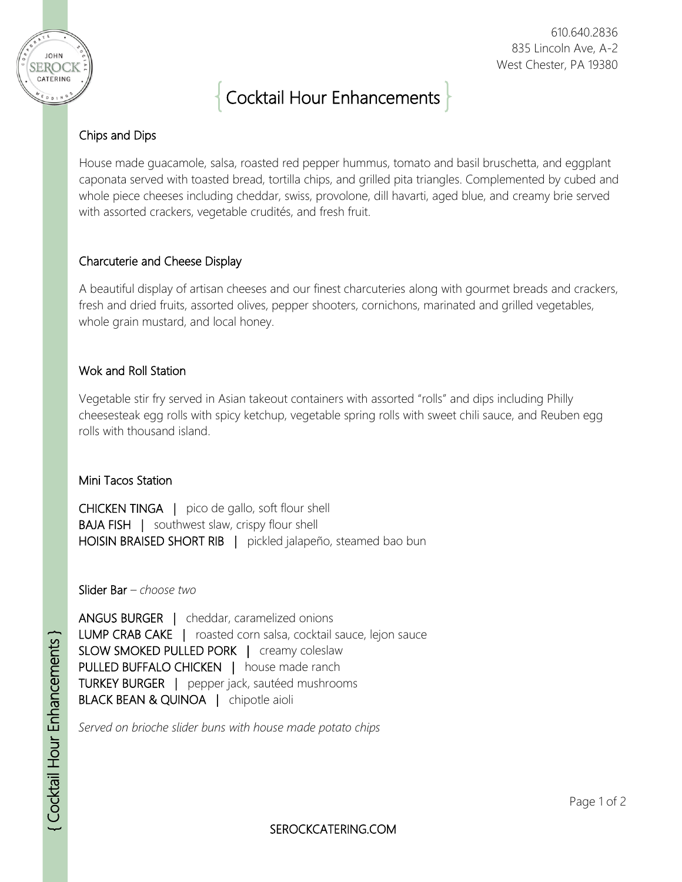

# Cocktail Hour Enhancements

## Chips and Dips

**JOHN** SEROCK CATERING

> House made guacamole, salsa, roasted red pepper hummus, tomato and basil bruschetta, and eggplant caponata served with toasted bread, tortilla chips, and grilled pita triangles. Complemented by cubed and whole piece cheeses including cheddar, swiss, provolone, dill havarti, aged blue, and creamy brie served with assorted crackers, vegetable crudités, and fresh fruit.

#### Charcuterie and Cheese Display

A beautiful display of artisan cheeses and our finest charcuteries along with gourmet breads and crackers, fresh and dried fruits, assorted olives, pepper shooters, cornichons, marinated and grilled vegetables, whole grain mustard, and local honey.

### Wok and Roll Station

Vegetable stir fry served in Asian takeout containers with assorted "rolls" and dips including Philly cheesesteak egg rolls with spicy ketchup, vegetable spring rolls with sweet chili sauce, and Reuben egg rolls with thousand island.

#### Mini Tacos Station

CHICKEN TINGA | pico de gallo, soft flour shell **BAJA FISH** | southwest slaw, crispy flour shell HOISIN BRAISED SHORT RIB | pickled jalapeño, steamed bao bun

Slider Bar *– choose two*

ANGUS BURGER | cheddar, caramelized onions LUMP CRAB CAKE | roasted corn salsa, cocktail sauce, lejon sauce SLOW SMOKED PULLED PORK | creamy coleslaw PULLED BUFFALO CHICKEN | house made ranch TURKEY BURGER | pepper jack, sautéed mushrooms BLACK BEAN & QUINOA | chipotle aioli

*Served on brioche slider buns with house made potato chips*